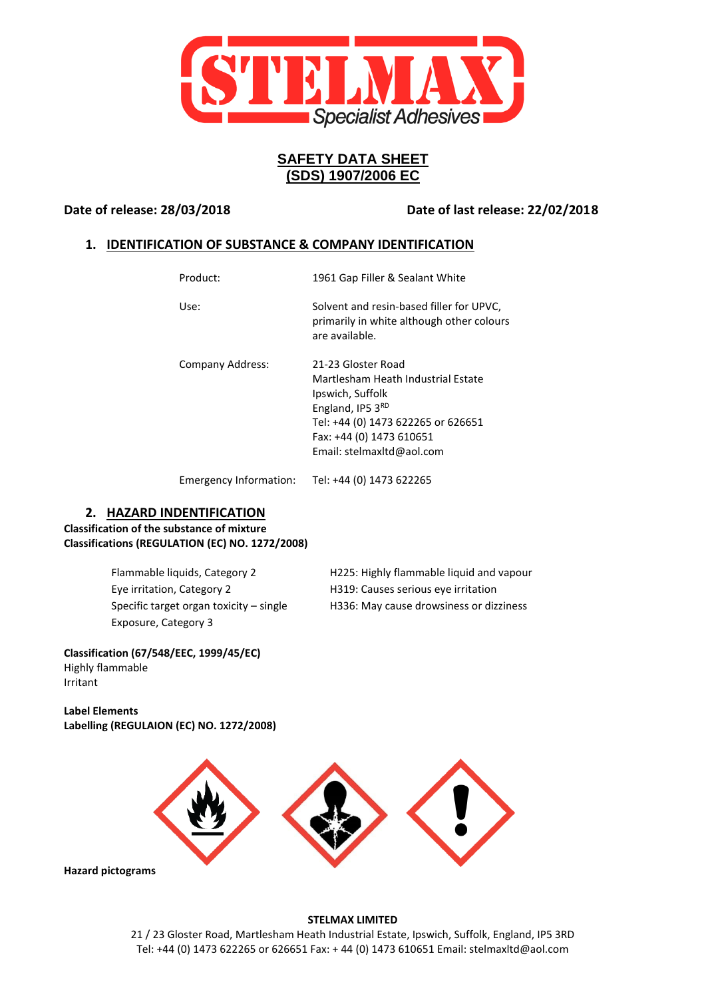

# **SAFETY DATA SHEET (SDS) 1907/2006 EC**

**Date of release: 28/03/2018 Date of last release: 22/02/2018**

# **1. IDENTIFICATION OF SUBSTANCE & COMPANY IDENTIFICATION**

| Product:         | 1961 Gap Filler & Sealant White                                                                                                                                                                 |
|------------------|-------------------------------------------------------------------------------------------------------------------------------------------------------------------------------------------------|
| Use:             | Solvent and resin-based filler for UPVC.<br>primarily in white although other colours<br>are available.                                                                                         |
| Company Address: | 21-23 Gloster Road<br>Martlesham Heath Industrial Estate<br>Ipswich, Suffolk<br>England, IP5 3RD<br>Tel: +44 (0) 1473 622265 or 626651<br>Fax: +44 (0) 1473 610651<br>Email: stelmaxitd@aol.com |

Emergency Information: Tel: +44 (0) 1473 622265

# **2. HAZARD INDENTIFICATION**

**Classification of the substance of mixture Classifications (REGULATION (EC) NO. 1272/2008)**

> Eye irritation, Category 2 H319: Causes serious eye irritation Exposure, Category 3

Flammable liquids, Category 2 H225: Highly flammable liquid and vapour Specific target organ toxicity – single H336: May cause drowsiness or dizziness

**Classification (67/548/EEC, 1999/45/EC)** Highly flammable Irritant

**Label Elements Labelling (REGULAION (EC) NO. 1272/2008)**



**Hazard pictograms**

# **STELMAX LIMITED**

21 / 23 Gloster Road, Martlesham Heath Industrial Estate, Ipswich, Suffolk, England, IP5 3RD Tel: +44 (0) 1473 622265 or 626651 Fax: + 44 (0) 1473 610651 Email: stelmaxltd@aol.com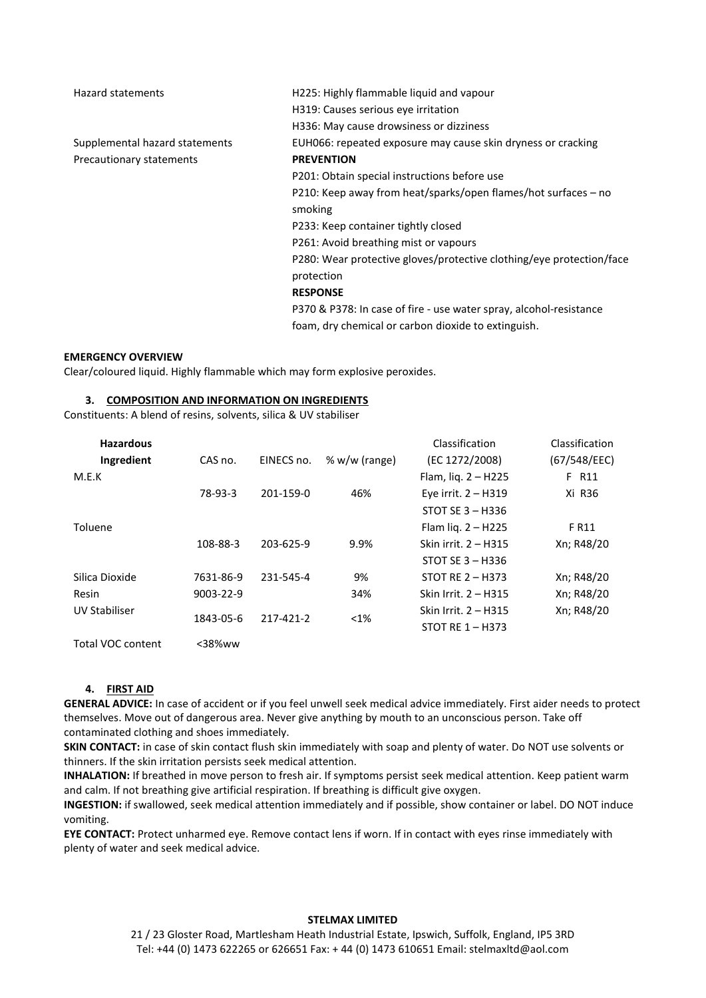| Hazard statements              | H225: Highly flammable liquid and vapour                             |  |
|--------------------------------|----------------------------------------------------------------------|--|
|                                | H319: Causes serious eye irritation                                  |  |
|                                | H336: May cause drowsiness or dizziness                              |  |
| Supplemental hazard statements | EUH066: repeated exposure may cause skin dryness or cracking         |  |
| Precautionary statements       | <b>PREVENTION</b>                                                    |  |
|                                | P201: Obtain special instructions before use                         |  |
|                                | P210: Keep away from heat/sparks/open flames/hot surfaces - no       |  |
|                                | smoking                                                              |  |
|                                | P233: Keep container tightly closed                                  |  |
|                                | P261: Avoid breathing mist or vapours                                |  |
|                                | P280: Wear protective gloves/protective clothing/eye protection/face |  |
|                                | protection                                                           |  |
|                                | <b>RESPONSE</b>                                                      |  |
|                                | P370 & P378: In case of fire - use water spray, alcohol-resistance   |  |
|                                | foam, dry chemical or carbon dioxide to extinguish.                  |  |

#### **EMERGENCY OVERVIEW**

Clear/coloured liquid. Highly flammable which may form explosive peroxides.

#### **3. COMPOSITION AND INFORMATION ON INGREDIENTS**

Constituents: A blend of resins, solvents, silica & UV stabiliser

| <b>Hazardous</b>     |                 |                        |                 | Classification        | Classification |
|----------------------|-----------------|------------------------|-----------------|-----------------------|----------------|
| Ingredient           | CAS no.         | EINECS no.             | % $w/w$ (range) | (EC 1272/2008)        | (67/548/EEC)   |
| M.E.K                |                 |                        |                 | Flam, lig. $2 - H225$ | F R11          |
|                      | 78-93-3         | 201-159-0              | 46%             | Eye irrit. $2 - H319$ | Xi R36         |
|                      |                 |                        |                 | STOT SE $3 - H336$    |                |
| Toluene              |                 |                        |                 | Flam liq. $2 - H225$  | F R11          |
|                      | 108-88-3        | 203-625-9              | 9.9%            | Skin irrit. 2 – H315  | Xn; R48/20     |
|                      |                 |                        |                 | STOT SE $3 - H336$    |                |
| Silica Dioxide       | 7631-86-9       | 231-545-4              | 9%              | STOT RE $2 - H373$    | Xn; R48/20     |
| Resin                | $9003 - 22 - 9$ |                        | 34%             | Skin Irrit. 2 – H315  | Xn; R48/20     |
| <b>UV Stabiliser</b> |                 | 1843-05-6<br>217-421-2 | $< 1\%$         | Skin Irrit. 2 – H315  | Xn; R48/20     |
|                      |                 |                        |                 | STOT RE $1 - H373$    |                |
| Total VOC content    | $<$ 38%ww       |                        |                 |                       |                |

#### **4. FIRST AID**

**GENERAL ADVICE:** In case of accident or if you feel unwell seek medical advice immediately. First aider needs to protect themselves. Move out of dangerous area. Never give anything by mouth to an unconscious person. Take off contaminated clothing and shoes immediately.

**SKIN CONTACT:** in case of skin contact flush skin immediately with soap and plenty of water. Do NOT use solvents or thinners. If the skin irritation persists seek medical attention.

**INHALATION:** If breathed in move person to fresh air. If symptoms persist seek medical attention. Keep patient warm and calm. If not breathing give artificial respiration. If breathing is difficult give oxygen.

**INGESTION:** if swallowed, seek medical attention immediately and if possible, show container or label. DO NOT induce vomiting.

**EYE CONTACT:** Protect unharmed eye. Remove contact lens if worn. If in contact with eyes rinse immediately with plenty of water and seek medical advice.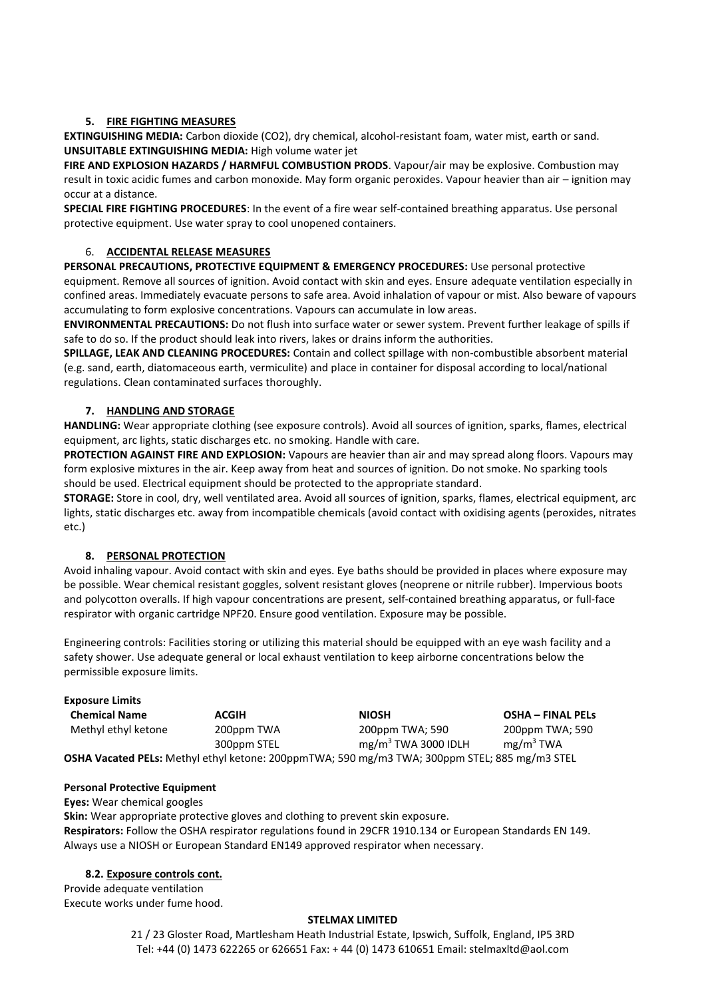# **5. FIRE FIGHTING MEASURES**

**EXTINGUISHING MEDIA:** Carbon dioxide (CO2), dry chemical, alcohol-resistant foam, water mist, earth or sand. **UNSUITABLE EXTINGUISHING MEDIA:** High volume water jet

**FIRE AND EXPLOSION HAZARDS / HARMFUL COMBUSTION PRODS**. Vapour/air may be explosive. Combustion may result in toxic acidic fumes and carbon monoxide. May form organic peroxides. Vapour heavier than air – ignition may occur at a distance.

**SPECIAL FIRE FIGHTING PROCEDURES**: In the event of a fire wear self-contained breathing apparatus. Use personal protective equipment. Use water spray to cool unopened containers.

# 6. **ACCIDENTAL RELEASE MEASURES**

**PERSONAL PRECAUTIONS, PROTECTIVE EQUIPMENT & EMERGENCY PROCEDURES:** Use personal protective equipment. Remove all sources of ignition. Avoid contact with skin and eyes. Ensure adequate ventilation especially in confined areas. Immediately evacuate persons to safe area. Avoid inhalation of vapour or mist. Also beware of vapours accumulating to form explosive concentrations. Vapours can accumulate in low areas.

**ENVIRONMENTAL PRECAUTIONS:** Do not flush into surface water or sewer system. Prevent further leakage of spills if safe to do so. If the product should leak into rivers, lakes or drains inform the authorities.

**SPILLAGE, LEAK AND CLEANING PROCEDURES:** Contain and collect spillage with non-combustible absorbent material (e.g. sand, earth, diatomaceous earth, vermiculite) and place in container for disposal according to local/national regulations. Clean contaminated surfaces thoroughly.

# **7. HANDLING AND STORAGE**

**HANDLING:** Wear appropriate clothing (see exposure controls). Avoid all sources of ignition, sparks, flames, electrical equipment, arc lights, static discharges etc. no smoking. Handle with care.

**PROTECTION AGAINST FIRE AND EXPLOSION:** Vapours are heavier than air and may spread along floors. Vapours may form explosive mixtures in the air. Keep away from heat and sources of ignition. Do not smoke. No sparking tools should be used. Electrical equipment should be protected to the appropriate standard.

**STORAGE:** Store in cool, dry, well ventilated area. Avoid all sources of ignition, sparks, flames, electrical equipment, arc lights, static discharges etc. away from incompatible chemicals (avoid contact with oxidising agents (peroxides, nitrates etc.)

# **8. PERSONAL PROTECTION**

Avoid inhaling vapour. Avoid contact with skin and eyes. Eye baths should be provided in places where exposure may be possible. Wear chemical resistant goggles, solvent resistant gloves (neoprene or nitrile rubber). Impervious boots and polycotton overalls. If high vapour concentrations are present, self-contained breathing apparatus, or full-face respirator with organic cartridge NPF20. Ensure good ventilation. Exposure may be possible.

Engineering controls: Facilities storing or utilizing this material should be equipped with an eye wash facility and a safety shower. Use adequate general or local exhaust ventilation to keep airborne concentrations below the permissible exposure limits.

#### **Exposure Limits**

| <b>Chemical Name</b> | <b>ACGIH</b> | <b>NIOSH</b>                                                                                  | <b>OSHA - FINAL PELS</b> |
|----------------------|--------------|-----------------------------------------------------------------------------------------------|--------------------------|
| Methyl ethyl ketone  | 200ppm TWA   | 200ppm TWA: 590                                                                               | 200ppm TWA; 590          |
|                      | 300ppm STEL  | $mg/m3$ TWA 3000 IDLH                                                                         | mg/m <sup>3</sup> TWA    |
|                      |              | OSHA Vacated PELs: Methyl ethyl ketone: 200ppmTWA; 590 mg/m3 TWA; 300ppm STEL; 885 mg/m3 STEL |                          |

#### **Personal Protective Equipment**

**Eyes:** Wear chemical googles

**Skin:** Wear appropriate protective gloves and clothing to prevent skin exposure. **Respirators:** Follow the OSHA respirator regulations found in 29CFR 1910.134 or European Standards EN 149. Always use a NIOSH or European Standard EN149 approved respirator when necessary.

## **8.2. Exposure controls cont.**

Provide adequate ventilation Execute works under fume hood.

## **STELMAX LIMITED**

21 / 23 Gloster Road, Martlesham Heath Industrial Estate, Ipswich, Suffolk, England, IP5 3RD Tel: +44 (0) 1473 622265 or 626651 Fax: + 44 (0) 1473 610651 Email: stelmaxltd@aol.com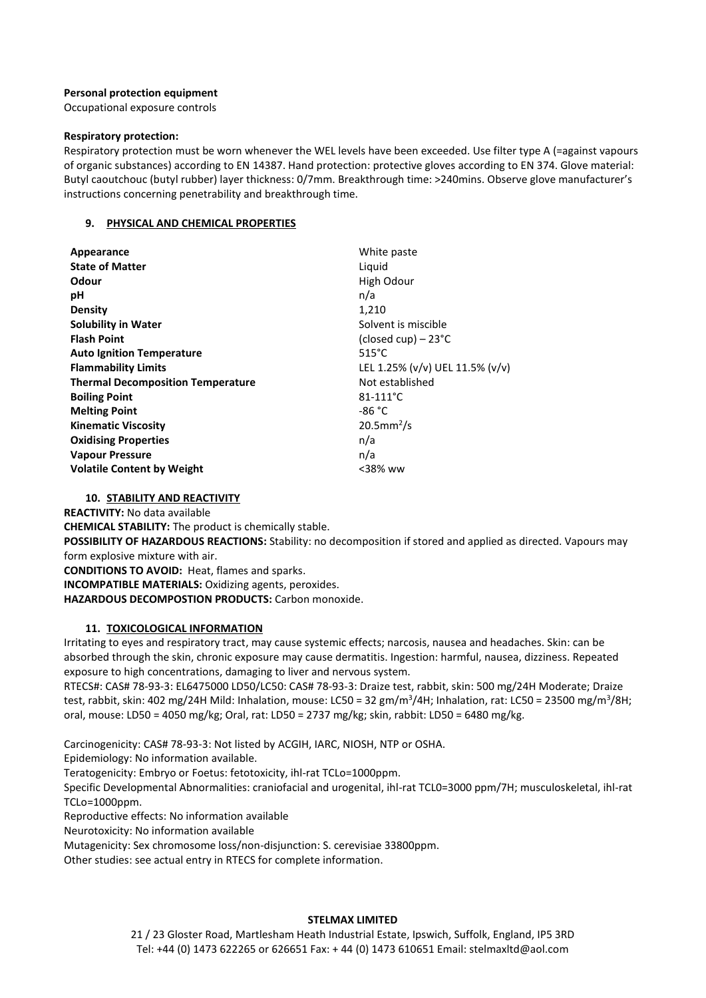## **Personal protection equipment**

Occupational exposure controls

#### **Respiratory protection:**

Respiratory protection must be worn whenever the WEL levels have been exceeded. Use filter type A (=against vapours of organic substances) according to EN 14387. Hand protection: protective gloves according to EN 374. Glove material: Butyl caoutchouc (butyl rubber) layer thickness: 0/7mm. Breakthrough time: >240mins. Observe glove manufacturer's instructions concerning penetrability and breakthrough time.

## **9. PHYSICAL AND CHEMICAL PROPERTIES**

| Appearance                               | White paste                     |
|------------------------------------------|---------------------------------|
| <b>State of Matter</b>                   | Liguid                          |
| Odour                                    | High Odour                      |
| рH                                       | n/a                             |
| <b>Density</b>                           | 1,210                           |
| <b>Solubility in Water</b>               | Solvent is miscible             |
| <b>Flash Point</b>                       | (closed cup) $-23^{\circ}$ C    |
| <b>Auto Ignition Temperature</b>         | $515^{\circ}$ C                 |
| <b>Flammability Limits</b>               | LEL 1.25% (v/v) UEL 11.5% (v/v) |
| <b>Thermal Decomposition Temperature</b> | Not established                 |
| <b>Boiling Point</b>                     | $81 - 111^{\circ}C$             |
| <b>Melting Point</b>                     | -86 °C                          |
| <b>Kinematic Viscosity</b>               | $20.5$ mm <sup>2</sup> /s       |
| <b>Oxidising Properties</b>              | n/a                             |
| <b>Vapour Pressure</b>                   | n/a                             |
| <b>Volatile Content by Weight</b>        | $<$ 38% ww                      |

## **10. STABILITY AND REACTIVITY**

**REACTIVITY:** No data available

**CHEMICAL STABILITY:** The product is chemically stable.

**POSSIBILITY OF HAZARDOUS REACTIONS:** Stability: no decomposition if stored and applied as directed. Vapours may form explosive mixture with air.

**CONDITIONS TO AVOID:** Heat, flames and sparks.

**INCOMPATIBLE MATERIALS:** Oxidizing agents, peroxides.

**HAZARDOUS DECOMPOSTION PRODUCTS:** Carbon monoxide.

## **11. TOXICOLOGICAL INFORMATION**

Irritating to eyes and respiratory tract, may cause systemic effects; narcosis, nausea and headaches. Skin: can be absorbed through the skin, chronic exposure may cause dermatitis. Ingestion: harmful, nausea, dizziness. Repeated exposure to high concentrations, damaging to liver and nervous system.

RTECS#: CAS# 78-93-3: EL6475000 LD50/LC50: CAS# 78-93-3: Draize test, rabbit, skin: 500 mg/24H Moderate; Draize test, rabbit, skin: 402 mg/24H Mild: Inhalation, mouse: LC50 = 32 gm/m<sup>3</sup>/4H; Inhalation, rat: LC50 = 23500 mg/m<sup>3</sup>/8H; oral, mouse: LD50 = 4050 mg/kg; Oral, rat: LD50 = 2737 mg/kg; skin, rabbit: LD50 = 6480 mg/kg.

Carcinogenicity: CAS# 78-93-3: Not listed by ACGIH, IARC, NIOSH, NTP or OSHA.

Epidemiology: No information available.

Teratogenicity: Embryo or Foetus: fetotoxicity, ihl-rat TCLo=1000ppm.

Specific Developmental Abnormalities: craniofacial and urogenital, ihl-rat TCL0=3000 ppm/7H; musculoskeletal, ihl-rat TCLo=1000ppm.

Reproductive effects: No information available

Neurotoxicity: No information available

Mutagenicity: Sex chromosome loss/non-disjunction: S. cerevisiae 33800ppm.

Other studies: see actual entry in RTECS for complete information.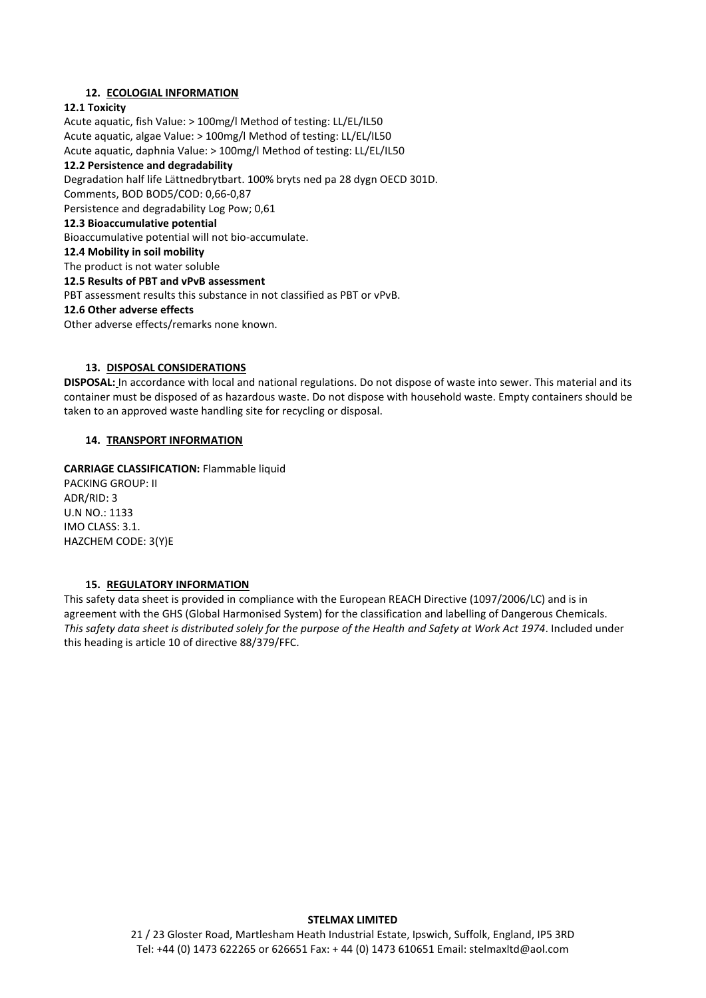# **12. ECOLOGIAL INFORMATION**

## **12.1 Toxicity**

Acute aquatic, fish Value: > 100mg/l Method of testing: LL/EL/IL50 Acute aquatic, algae Value: > 100mg/l Method of testing: LL/EL/IL50 Acute aquatic, daphnia Value: > 100mg/l Method of testing: LL/EL/IL50 **12.2 Persistence and degradability**  Degradation half life Lättnedbrytbart. 100% bryts ned pa 28 dygn OECD 301D. Comments, BOD BOD5/COD: 0,66-0,87 Persistence and degradability Log Pow; 0,61 **12.3 Bioaccumulative potential** Bioaccumulative potential will not bio-accumulate. **12.4 Mobility in soil mobility** The product is not water soluble **12.5 Results of PBT and vPvB assessment** PBT assessment results this substance in not classified as PBT or vPvB. **12.6 Other adverse effects** Other adverse effects/remarks none known.

## **13. DISPOSAL CONSIDERATIONS**

**DISPOSAL:** In accordance with local and national regulations. Do not dispose of waste into sewer. This material and its container must be disposed of as hazardous waste. Do not dispose with household waste. Empty containers should be taken to an approved waste handling site for recycling or disposal.

# **14. TRANSPORT INFORMATION**

**CARRIAGE CLASSIFICATION:** Flammable liquid PACKING GROUP: II ADR/RID: 3 U.N NO.: 1133 IMO CLASS: 3.1. HAZCHEM CODE: 3(Y)E

## **15. REGULATORY INFORMATION**

This safety data sheet is provided in compliance with the European REACH Directive (1097/2006/LC) and is in agreement with the GHS (Global Harmonised System) for the classification and labelling of Dangerous Chemicals. *This safety data sheet is distributed solely for the purpose of the Health and Safety at Work Act 1974*. Included under this heading is article 10 of directive 88/379/FFC.